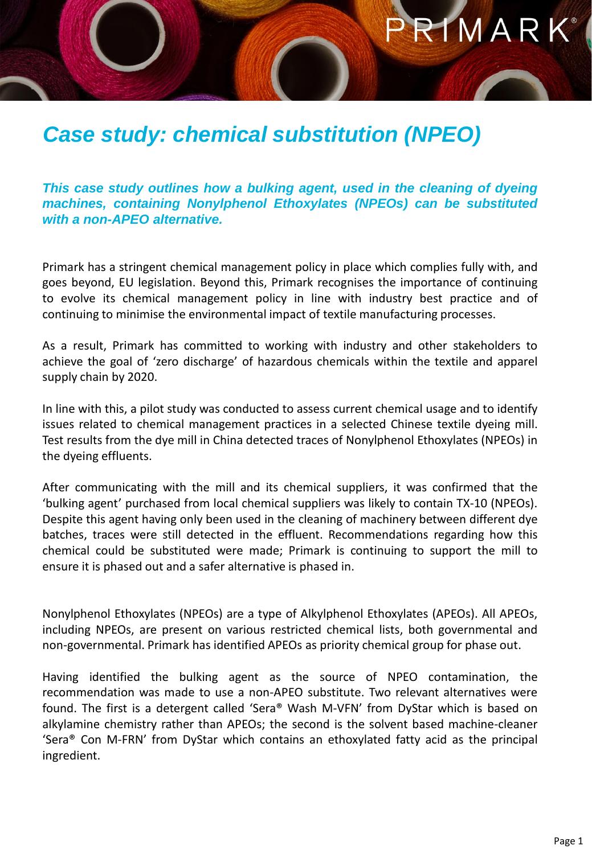## RIMARK®

## *Case study: chemical substitution (NPEO)*

*This case study outlines how a bulking agent, used in the cleaning of dyeing machines, containing Nonylphenol Ethoxylates (NPEOs) can be substituted with a non-APEO alternative.*

Primark has a stringent chemical management policy in place which complies fully with, and goes beyond, EU legislation. Beyond this, Primark recognises the importance of continuing to evolve its chemical management policy in line with industry best practice and of continuing to minimise the environmental impact of textile manufacturing processes.

As a result, Primark has committed to working with industry and other stakeholders to achieve the goal of 'zero discharge' of hazardous chemicals within the textile and apparel supply chain by 2020.

In line with this, a pilot study was conducted to assess current chemical usage and to identify issues related to chemical management practices in a selected Chinese textile dyeing mill. Test results from the dye mill in China detected traces of Nonylphenol Ethoxylates (NPEOs) in the dyeing effluents.

After communicating with the mill and its chemical suppliers, it was confirmed that the 'bulking agent' purchased from local chemical suppliers was likely to contain TX-10 (NPEOs). Despite this agent having only been used in the cleaning of machinery between different dye batches, traces were still detected in the effluent. Recommendations regarding how this chemical could be substituted were made; Primark is continuing to support the mill to ensure it is phased out and a safer alternative is phased in.

Nonylphenol Ethoxylates (NPEOs) are a type of Alkylphenol Ethoxylates (APEOs). All APEOs, including NPEOs, are present on various restricted chemical lists, both governmental and non-governmental. Primark has identified APEOs as priority chemical group for phase out.

Having identified the bulking agent as the source of NPEO contamination, the recommendation was made to use a non-APEO substitute. Two relevant alternatives were found. The first is a detergent called 'Sera® Wash M-VFN' from DyStar which is based on alkylamine chemistry rather than APEOs; the second is the solvent based machine-cleaner 'Sera® Con M-FRN' from DyStar which contains an ethoxylated fatty acid as the principal ingredient.